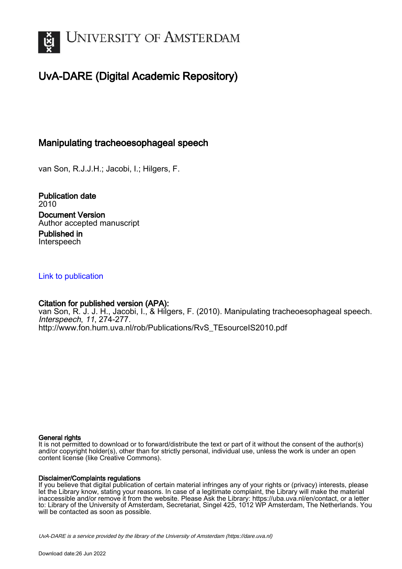

# UvA-DARE (Digital Academic Repository)

## Manipulating tracheoesophageal speech

van Son, R.J.J.H.; Jacobi, I.; Hilgers, F.

Publication date 2010 Document Version Author accepted manuscript

Published in Interspeech

## [Link to publication](https://dare.uva.nl/personal/pure/en/publications/manipulating-tracheoesophageal-speech(d445d076-6d37-4589-804b-073010a5806c).html)

## Citation for published version (APA):

van Son, R. J. J. H., Jacobi, I., & Hilgers, F. (2010). Manipulating tracheoesophageal speech. Interspeech, 11, 274-277. [http://www.fon.hum.uva.nl/rob/Publications/RvS\\_TEsourceIS2010.pdf](http://www.fon.hum.uva.nl/rob/Publications/RvS_TEsourceIS2010.pdf)

## General rights

It is not permitted to download or to forward/distribute the text or part of it without the consent of the author(s) and/or copyright holder(s), other than for strictly personal, individual use, unless the work is under an open content license (like Creative Commons).

## Disclaimer/Complaints regulations

If you believe that digital publication of certain material infringes any of your rights or (privacy) interests, please let the Library know, stating your reasons. In case of a legitimate complaint, the Library will make the material inaccessible and/or remove it from the website. Please Ask the Library: https://uba.uva.nl/en/contact, or a letter to: Library of the University of Amsterdam, Secretariat, Singel 425, 1012 WP Amsterdam, The Netherlands. You will be contacted as soon as possible.

UvA-DARE is a service provided by the library of the University of Amsterdam (http*s*://dare.uva.nl)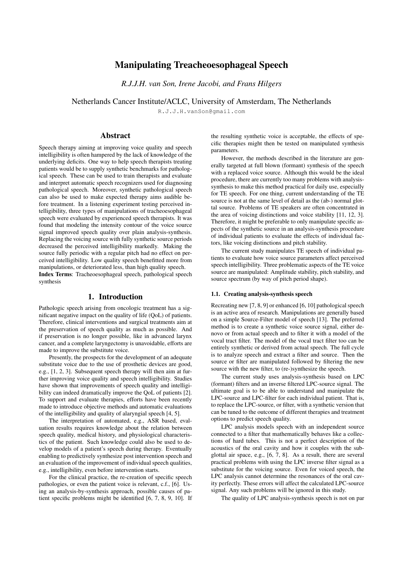## Manipulating Treacheoesophageal Speech

*R.J.J.H. van Son, Irene Jacobi, and Frans Hilgers*

Netherlands Cancer Institute/ACLC, University of Amsterdam, The Netherlands

R.J.J.H.vanSon@gmail.com

## Abstract

Speech therapy aiming at improving voice quality and speech intelligibility is often hampered by the lack of knowledge of the underlying deficits. One way to help speech therapists treating patients would be to supply synthetic benchmarks for pathological speech. These can be used to train therapists and evaluate and interpret automatic speech recognizers used for diagnosing pathological speech. Moreover, synthetic pathological speech can also be used to make expected therapy aims audible before treatment. In a listening experiment testing perceived intelligibility, three types of manipulations of tracheoesophageal speech were evaluated by experienced speech therapists. It was found that modeling the intensity contour of the voice source signal improved speech quality over plain analysis-synthesis. Replacing the voicing source with fully synthetic source periods decreased the perceived intelligibility markedly. Making the source fully periodic with a regular pitch had no effect on perceived intelligibility. Low quality speech benefitted more from manipulations, or deteriorated less, than high quality speech. Index Terms: Tracheoesophageal speech, pathological speech synthesis

## 1. Introduction

Pathologic speech arising from oncologic treatment has a significant negative impact on the quality of life (QoL) of patients. Therefore, clinical interventions and surgical treatments aim at the preservation of speech quality as much as possible. And if preservation is no longer possible, like in advanced larynx cancer, and a complete laryngectomy is unavoidable, efforts are made to improve the substitute voice.

Presently, the prospects for the development of an adequate substitute voice due to the use of prosthetic devices are good, e.g., [1, 2, 3]. Subsequent speech therapy will then aim at further improving voice quality and speech intelligibility. Studies have shown that improvements of speech quality and intelligibility can indeed dramatically improve the QoL of patients [2]. To support and evaluate therapies, efforts have been recently made to introduce objective methods and automatic evaluations of the intelligibility and quality of alaryngial speech [4, 5].

The interpretation of automated, e.g., ASR based, evaluation results requires knowledge about the relation between speech quality, medical history, and physiological characteristics of the patient. Such knowledge could also be used to develop models of a patient's speech during therapy. Eventually enabling to predictively synthesize post intervention speech and an evaluation of the improvement of individual speech qualities, e.g., intelligibility, even before intervention starts.

For the clinical practice, the re-creation of specific speech pathologies, or even the patient voice is relevant, c.f., [6]. Using an analysis-by-synthesis approach, possible causes of patient specific problems might be identified [6, 7, 8, 9, 10]. If the resulting synthetic voice is acceptable, the effects of specific therapies might then be tested on manipulated synthesis parameters.

However, the methods described in the literature are generally targeted at full blown (formant) synthesis of the speech with a replaced voice source. Although this would be the ideal procedure, there are currently too many problems with analysissynthesis to make this method practical for daily use, especially for TE speech. For one thing, current understanding of the TE source is not at the same level of detail as the (ab-) normal glottal source. Problems of TE speakers are often concentrated in the area of voicing distinctions and voice stability [11, 12, 3]. Therefore, it might be preferable to only manipulate specific aspects of the synthetic source in an analysis-synthesis procedure of individual patients to evaluate the effects of individual factors, like voicing distinctions and pitch stability.

The current study manipulates TE speech of individual patients to evaluate how voice source parameters affect perceived speech intelligibility. Three problematic aspects of the TE voice source are manipulated: Amplitude stability, pitch stability, and source spectrum (by way of pitch period shape).

#### 1.1. Creating analysis-synthesis speech

Recreating new [7, 8, 9] or enhanced [6, 10] pathological speech is an active area of research. Manipulations are generally based on a simple Source-Filter model of speech [13]. The preferred method is to create a synthetic voice source signal, either denovo or from actual speech and to filter it with a model of the vocal tract filter. The model of the vocal tract filter too can be entirely synthetic or derived from actual speech. The full cycle is to analyze speech and extract a filter and source. Then the source or filter are manipulated followed by filtering the new source with the new filter, to (re-)synthesize the speech.

The current study uses analysis-synthesis based on LPC (formant) filters and an inverse filtered LPC-source signal. The ultimate goal is to be able to understand and manipulate the LPC-source and LPC-filter for each individual patient. That is, to replace the LPC-source, or filter, with a synthetic version that can be tuned to the outcome of different therapies and treatment options to predict speech quality.

LPC analysis models speech with an independent source connected to a filter that mathematically behaves like a collections of hard tubes. This is not a perfect description of the acoustics of the oral cavity and how it couples with the subglottal air space, e.g., [6, 7, 8]. As a result, there are several practical problems with using the LPC inverse filter signal as a substitute for the voicing source. Even for voiced speech, the LPC analysis cannot determine the resonances of the oral cavity perfectly. These errors will affect the calculated LPC-source signal. Any such problems will be ignored in this study.

The quality of LPC analysis-synthesis speech is not on par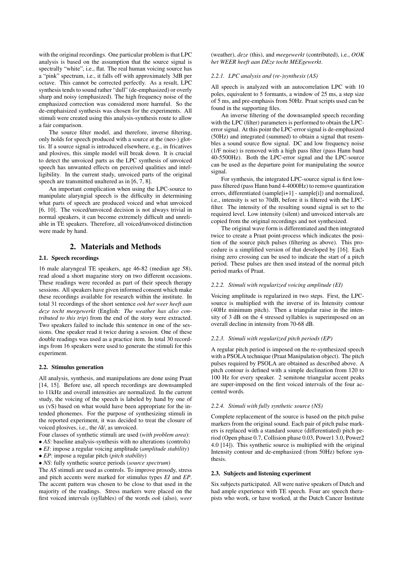with the original recordings. One particular problem is that LPC analysis is based on the assumption that the source signal is spectrally "white", i.e., flat. The real human voicing source has a "pink" spectrum, i.e., it falls off with approximately 3dB per octave. This cannot be corrected perfectly. As a result, LPC synthesis tends to sound rather "dull" (de-emphasized) or overly sharp and noisy (emphasized). The high frequency noise of the emphasized correction was considered more harmful. So the de-emphaisized synthesis was chosen for the experiments. All stimuli were created using this analysis-synthesis route to allow a fair comparison.

The source filter model, and therefore, inverse filtering, only holds for speech produced with a source at the (neo-) glottis. If a source signal is introduced elsewhere, e.g., in fricatives and plosives, this simple model will break down. It is crucial to detect the unvoiced parts as the LPC synthesis of unvoiced speech has unwanted effects on perceived qualities and intelligibility. In the current study, unvoiced parts of the original speech are transmitted unaltered as in [6, 7, 8].

An important complication when using the LPC-source to manipulate alaryngial speech is the difficulty in determining what parts of speech are produced voiced and what unvoiced [6, 10]. The voiced/unvoiced decision is not always trivial in normal speakers, it can become extremely difficult and unreliable in TE speakers. Therefore, all voiced/unvoiced distinction were made by hand.

### 2. Materials and Methods

#### 2.1. Speech recordings

16 male alaryngeal TE speakers, age 46-82 (median age 58), read aloud a short magazine story on two different occasions. These readings were recorded as part of their speech therapy sessions. All speakers have given informed consent which make these recordings available for research within the institute. In total 31 recordings of the short sentence *ook het weer heeft aan deze tocht meegewerkt* (English: *The weather has also contributed to this trip*) from the end of the story were extracted. Two speakers failed to include this sentence in one of the sessions. One speaker read it twice during a session. One of these double readings was used as a practice item. In total 30 recordings from 16 speakers were used to generate the stimuli for this experiment.

#### 2.2. Stimulus generation

All analysis, synthesis, and manipulations are done using Praat [14, 15]. Before use, all speech recordings are downsampled to 11kHz and overall intensities are normalized. In the current study, the voicing of the speech is labeled by hand by one of us (vS) based on what would have been appropriate for the intended phonemes. For the purpose of synthesizing stimuli in the reported experiment, it was decided to treat the closure of voiced plosives, i.e., the /d/, as unvoiced.

Four classes of synthetic stimuli are used (*with problem area*):

- *AS*: baseline analysis-synthesis with no alterations (controls)
- *EI*: impose a regular voicing amplitude (*amplitude stability*)
- *EP*: impose a regular pitch (*pitch stability*)

• *NS*: fully synthetic source periods (*source spectrum*)

The *AS* stimuli are used as controls. To improve prosody, stress and pitch accents were marked for stimulus types *EI* and *EP*. The accent pattern was chosen to be close to that used in the majority of the readings. Stress markers were placed on the first voiced intervals (syllables) of the words *ook* (also), *weer* (weather), *deze* (this), and *meegewerkt* (contributed), i.e., *OOK het WEER heeft aan DEze tocht MEEgewerkt*.

### *2.2.1. LPC analysis and (re-)synthesis (AS)*

All speech is analyzed with an autocorrelation LPC with 10 poles, equivalent to 5 formants, a window of 25 ms, a step size of 5 ms, and pre-emphasis from 50Hz. Praat scripts used can be found in the supporting files.

An inverse filtering of the downsampled speech recording with the LPC (filter) parameters is performed to obtain the LPCerror signal. At this point the LPC-error signal is de-emphasized (50Hz) and integrated (summed) to obtain a signal that resembles a sound source flow signal. DC and low frequency noise (1/F noise) is removed with a high pass filter (pass Hann band 40-5500Hz). Both the LPC-error signal and the LPC-source can be used as the departure point for manipulating the source signal.

For synthesis, the integrated LPC-source signal is first lowpass filtered (pass Hann band 4-4000Hz) to remove quantization errors, differentiated (sample[i+1] - sample[i]) and normalized, i.e., intensity is set to 70dB, before it is filtered with the LPCfilter. The intensity of the resulting sound signal is set to the required level. Low intensity (silent) and unvoiced intervals are copied from the original recordings and not synthesized.

The original wave form is differentiated and then integrated twice to create a Praat point-process which indicates the position of the source pitch pulses (filtering as above). This procedure is a simplified version of that developed by [16]. Each rising zero crossing can be used to indicate the start of a pitch period. These pulses are then used instead of the normal pitch period marks of Praat.

#### *2.2.2. Stimuli with regularized voicing amplitude (EI)*

Voicing amplitude is regularized in two steps. First, the LPCsource is multiplied with the inverse of its Intensity contour (40Hz minimum pitch). Then a triangular raise in the intensity of 3 dB on the 4 stressed syllables is superimposed on an overall decline in intensity from 70-68 dB.

#### *2.2.3. Stimuli with regularized pitch periods (EP)*

A regular pitch period is imposed on the re-synthesized speech with a PSOLA technique (Praat Manipulation object). The pitch pulses required by PSOLA are obtained as described above. A pitch contour is defined with a simple declination from 120 to 100 Hz for every speaker. 2 semitone triangular accent peaks are super-imposed on the first voiced intervals of the four accented words.

#### *2.2.4. Stimuli with fully synthetic source (NS)*

Complete replacement of the source is based on the pitch pulse markers from the original sound. Each pair of pitch pulse markers is replaced with a standard source (differentiated) pitch period (Open phase 0.7, Collision phase 0.03, Power1 3.0, Power2 4.0 [14]). This synthetic source is multiplied with the original Intensity contour and de-emphasized (from 50Hz) before synthesis.

#### 2.3. Subjects and listening experiment

Six subjects participated. All were native speakers of Dutch and had ample experience with TE speech. Four are speech therapists who work, or have worked, at the Dutch Cancer Institute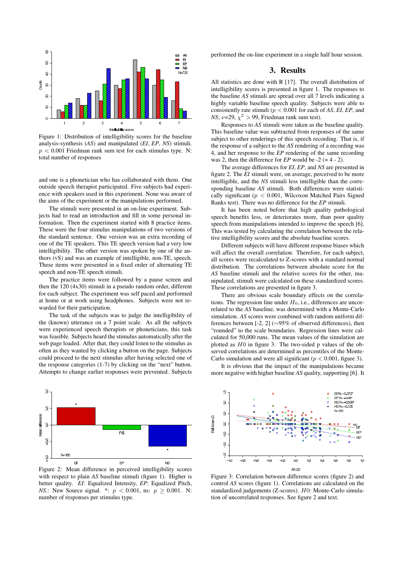

Figure 1: Distribution of intelligibility scores for the baseline analysis-synthesis (*AS*) and manipulated (*EI*, *EP*, *NS*) stimuli.  $p < 0.001$  Friedman rank sum test for each stimulus type. N: total number of responses

and one is a phonetician who has collaborated with them. One outside speech therapist participated. Five subjects had experience with speakers used in this experiment. None was aware of the aims of the experiment or the manipulations performed.

The stimuli were presented in an on-line experiment. Subjects had to read an introduction and fill in some personal information. Then the experiment started with 8 practice items. These were the four stimulus manipulations of two versions of the standard sentence. One version was an extra recording of one of the TE speakers. This TE speech version had a very low intelligibility. The other version was spoken by one of the authors (vS) and was an example of intelligible, non-TE, speech. These items were presented in a fixed order of alternating TE speech and non-TE speech stimuli.

The practice items were followed by a pause screen and then the  $120 (4x30)$  stimuli in a pseudo random order, different for each subject. The experiment was self paced and performed at home or at work using headphones. Subjects were not rewarded for their participation.

The task of the subjects was to judge the intelligibility of the (known) utterance on a 7 point scale. As all the subjects were experienced speech therapists or phoneticians, this task was feasible. Subjects heard the stimulus automatically after the web page loaded. After that, they could listen to the stimulus as often as they wanted by clicking a button on the page. Subjects could proceed to the next stimulus after having selected one of the response categories (1-7) by clicking on the "next" button. Attempts to change earlier responses were prevented. Subjects



Figure 2: Mean difference in perceived intelligibility scores with respect to plain *AS* baseline stimuli (figure 1). Higher is better quality. *EI*: Equalized Intensity, *EP*: Equalized Pitch, *NS*.: New Source signal. \*:  $p < 0.001$ , ns:  $p \ge 0.001$ . N: number of responses per stimulus type.

performed the on-line experiment in a single half hour session.

## 3. Results

All statistics are done with R [17]. The overall distribution of intelligibility scores is presented in figure 1. The responses to the baseline *AS* stimuli are spread over all 7 levels indicating a highly variable baseline speech quality. Subjects were able to consistently rate stimuli (p < 0.001 for each of *AS*, *EI*, *EP*, and *NS*;  $\nu$ =29,  $\chi^2$  > 99, Friedman rank sum test).

Responses to *AS* stimuli were taken as the baseline quality. This baseline value was subtracted from responses of the same subject to other renderings of this speech recording. That is, if the response of a subject to the *AS* rendering of a recording was 4, and her response to the *EP* rendering of the same recording was 2, then the difference for  $EP$  would be  $-2$  (= 4 - 2).

The average differences for *EI*, *EP*, and *NS* are presented in figure 2. The *EI* stimuli were, on average, perceived to be more intelligible, and the *NS* stimuli less intelligible than the corresponding baseline *AS* stimuli. Both differences were statistically significant ( $p < 0.001$ , Wilcoxon Matched Pairs Signed Ranks test). There was no difference for the *EP* stimuli.

It has been noted before that high quality pathological speech benefits less, or deteriorates more, than poor quality speech from manipulations intended to improve the speech [6]. This was tested by calculating the correlation between the relative intelligibility scores and the absolute baseline scores.

Different subjects will have different response biases which will affect the overall correlation. Therefore, for each subject, all scores were recalculated to Z-scores with a standard normal distribution. The correlations between absolute score for the *AS* baseline stimuli and the relative scores for the other, manipulated, stimuli were calculated on these standardized scores. These correlations are presented in figure 3.

There are obvious scale boundary effects on the correlations. The regression line under  $H_0$ , i.e., differences are uncorrelated to the *AS* baseline, was determined with a Monte-Carlo simulation. *AS* scores were combined with random uniform differences between [-2, 2] (∼95% of observed differences), then "rounded" to the scale boundaries. Regression lines were calculated for 50,000 runs. The mean values of the simulation are plotted as  $H0$  in figure 3. The two-sided p values of the observed correlations are determined as percentiles of the Monte-Carlo simulation and were all significant ( $p < 0.001$ , figure 3).

It is obvious that the impact of the manipulations became more negative with higher baseline *AS* quality, supporting [6]. It



Figure 3: Correlation between difference scores (figure 2) and control *AS* scores (figure 1). Correlations are calculated on the standardized judgements (Z-scores). H0: Monte-Carlo simulation of uncorrelated responses. See figure 2 and text.